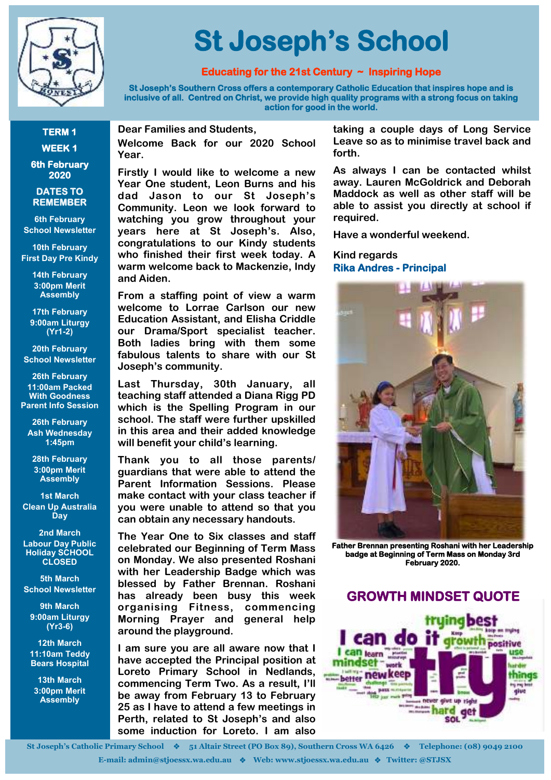

# **St Joseph's School**

#### **Educating for the 21st Century ~ Inspiring Hope**

**St Joseph's Southern Cross offers a contemporary Catholic Education that inspires hope and is inclusive of all. Centred on Christ, we provide high quality programs with a strong focus on taking action for good in the world.** 

**TERM 1 WEEK 1** 

**6th February 2020** 

#### **DATES TO REMEMBER**

**6th February School Newsletter**

**10th February First Day Pre Kindy**

> **14th February 3:00pm Merit Assembly**

**17th February 9:00am Liturgy (Yr1-2)**

**20th February School Newsletter**

**26th February 11:00am Packed With Goodness Parent Info Session**

**26th February Ash Wednesday 1:45pm**

**28th February 3:00pm Merit Assembly**

**1st March Clean Up Australia Day**

**2nd March Labour Day Public Holiday SCHOOL CLOSED**

**5th March School Newsletter**

**9th March 9:00am Liturgy (Yr3-6)**

**12th March 11:10am Teddy Bears Hospital**

**13th March 3:00pm Merit Assembly**

**Dear Families and Students,** 

**Welcome Back for our 2020 School Year.** 

**Firstly I would like to welcome a new Year One student, Leon Burns and his dad Jason to our St Joseph's Community. Leon we look forward to watching you grow throughout your years here at St Joseph's. Also, congratulations to our Kindy students who finished their first week today. A warm welcome back to Mackenzie, Indy and Aiden.** 

**From a staffing point of view a warm welcome to Lorrae Carlson our new Education Assistant, and Elisha Criddle our Drama/Sport specialist teacher. Both ladies bring with them some fabulous talents to share with our St Joseph's community.**

**Last Thursday, 30th January, all teaching staff attended a Diana Rigg PD which is the Spelling Program in our school. The staff were further upskilled in this area and their added knowledge will benefit your child's learning.**

**Thank you to all those parents/ guardians that were able to attend the Parent Information Sessions. Please make contact with your class teacher if you were unable to attend so that you can obtain any necessary handouts.** 

**The Year One to Six classes and staff celebrated our Beginning of Term Mass on Monday. We also presented Roshani with her Leadership Badge which was blessed by Father Brennan. Roshani has already been busy this week organising Fitness, commencing Morning Prayer and general help around the playground.** 

**I am sure you are all aware now that I have accepted the Principal position at Loreto Primary School in Nedlands, commencing Term Two. As a result, I'll be away from February 13 to February 25 as I have to attend a few meetings in Perth, related to St Joseph's and also some induction for Loreto. I am also** 

**taking a couple days of Long Service Leave so as to minimise travel back and forth.** 

**As always I can be contacted whilst away. Lauren McGoldrick and Deborah Maddock as well as other staff will be able to assist you directly at school if required.** 

**Have a wonderful weekend.** 

#### **Kind regards Rika Andres - Principal**



**Father Brennan presenting Roshani with her Leadership badge at Beginning of Term Mass on Monday 3rd February 2020.** 

#### **GROWTH MINDSET QUOTE**



**St Joseph's Catholic Primary School 51 Altair Street (PO Box 89), Southern Cross WA 6426 Telephone: (08) 9049 2100**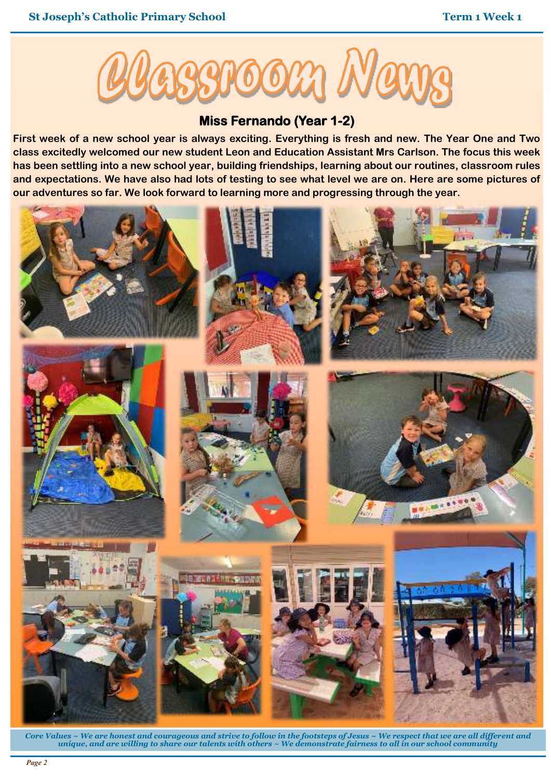

#### **Miss Fernando (Year 1-2)**

**First week of a new school year is always exciting. Everything is fresh and new. The Year One and Two class excitedly welcomed our new student Leon and Education Assistant Mrs Carlson. The focus this week has been settling into a new school year, building friendships, learning about our routines, classroom rules and expectations. We have also had lots of testing to see what level we are on. Here are some pictures of our adventures so far. We look forward to learning more and progressing through the year.** 



*Core Values ~ We are honest and courageous and strive to follow in the footsteps of Jesus ~ We respect that we are all different and unique, and are willing to share our talents with others ~ We demonstrate fairness to all in our school community*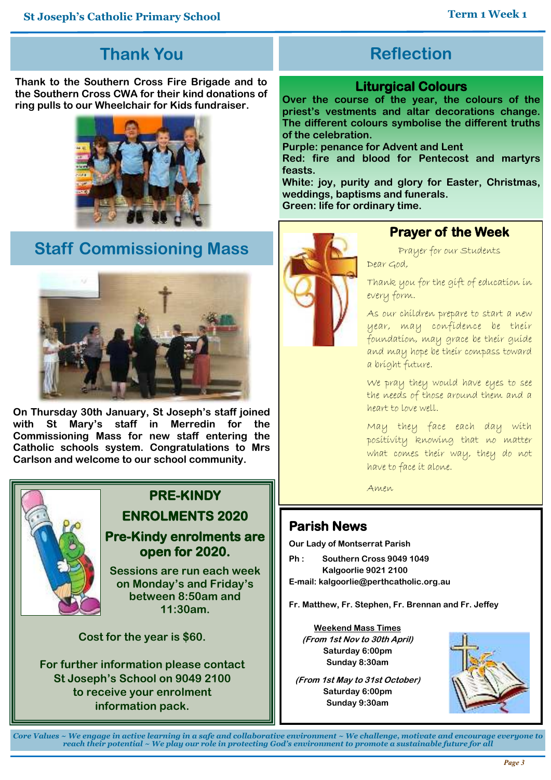## **Thank You**

**Thank to the Southern Cross Fire Brigade and to the Southern Cross CWA for their kind donations of ring pulls to our Wheelchair for Kids fundraiser.** 



## **Staff Commissioning Mass**



**On Thursday 30th January, St Joseph's staff joined with St Mary's staff in Merredin for the Commissioning Mass for new staff entering the Catholic schools system. Congratulations to Mrs Carlson and welcome to our school community.** 



# **PRE-KINDY Example 2** Amen **ENROLMENTS 2020**

**Pre-Kindy enrolments are open for 2020.** 

**Sessions are run each week on Monday's and Friday's between 8:50am and 11:30am.** 

**Cost for the year is \$60.** 

**For further information please contact St Joseph's School on 9049 2100 to receive your enrolment information pack.** 

## **Reflection**

#### **Liturgical Colours**

**Over the course of the year, the colours of the priest's vestments and altar decorations change. The different colours symbolise the different truths of the celebration.** 

**Purple: penance for Advent and Lent** 

**Red: fire and blood for Pentecost and martyrs feasts.** 

**White: joy, purity and glory for Easter, Christmas, weddings, baptisms and funerals.** 

**Green: life for ordinary time.** 



### **Prayer of the Week**

Prayer for our Students Dear God,

Thank you for the gift of education in every form.

As our children prepare to start a new year, may confidence be their foundation, may grace be their guide and may hope be their compass toward a bright future.

We pray they would have eyes to see the needs of those around them and a heart to love well.

May they face each day with positivity knowing that no matter what comes their way, they do not have to face it alone.

## **Parish News**

**Our Lady of Montserrat Parish** 

**Ph : Southern Cross 9049 1049 Kalgoorlie 9021 2100 E-mail: kalgoorlie@perthcatholic.org.au** 

**Fr. Matthew, Fr. Stephen, Fr. Brennan and Fr. Jeffey**

**Weekend Mass Times (From 1st Nov to 30th April) Saturday 6:00pm Sunday 8:30am** 

**(From 1st May to 31st October) Saturday 6:00pm Sunday 9:30am** 



*Core Values ~ We engage in active learning in a safe and collaborative environment ~ We challenge, motivate and encourage everyone to reach their potential ~ We play our role in protecting God's environment to promote a sustainable future for all*